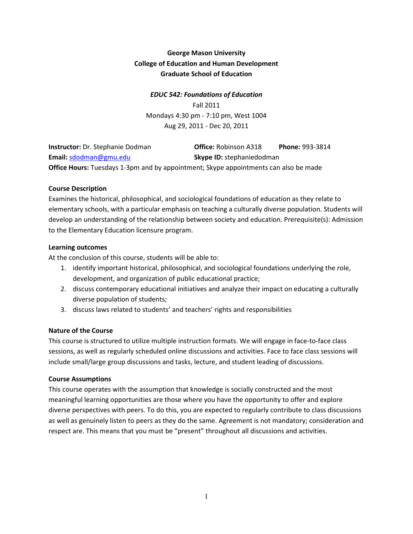# George Mason University College of Education and Human Development Graduate School of Education

## EDUC 542: Foundations of Education

Fall 2011 Mondays 4:30 pm - 7:10 pm, West 1004 Aug 29, 2011 - Dec 20, 2011

| <b>Instructor:</b> Dr. Stephanie Dodman                                                     | <b>Office: Robinson A318</b>     | <b>Phone: 993-3814</b> |
|---------------------------------------------------------------------------------------------|----------------------------------|------------------------|
| Email: sdodman@gmu.edu                                                                      | <b>Skype ID:</b> stephaniedodman |                        |
| <b>Office Hours:</b> Tuesdays 1-3pm and by appointment; Skype appointments can also be made |                                  |                        |

## Course Description

Examines the historical, philosophical, and sociological foundations of education as they relate to elementary schools, with a particular emphasis on teaching a culturally diverse population. Students will develop an understanding of the relationship between society and education. Prerequisite(s): Admission to the Elementary Education licensure program.

## Learning outcomes

At the conclusion of this course, students will be able to:

- 1. identify important historical, philosophical, and sociological foundations underlying the role, development, and organization of public educational practice;
- 2. discuss contemporary educational initiatives and analyze their impact on educating a culturally diverse population of students;
- 3. discuss laws related to students' and teachers' rights and responsibilities

# Nature of the Course

This course is structured to utilize multiple instruction formats. We will engage in face-to-face class sessions, as well as regularly scheduled online discussions and activities. Face to face class sessions will include small/large group discussions and tasks, lecture, and student leading of discussions.

#### Course Assumptions

This course operates with the assumption that knowledge is socially constructed and the most meaningful learning opportunities are those where you have the opportunity to offer and explore diverse perspectives with peers. To do this, you are expected to regularly contribute to class discussions as well as genuinely listen to peers as they do the same. Agreement is not mandatory; consideration and respect are. This means that you must be "present" throughout all discussions and activities.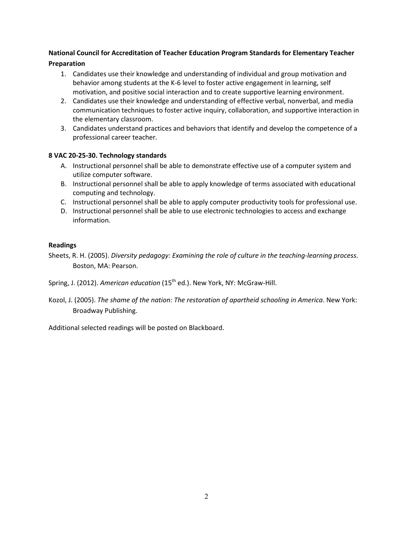# National Council for Accreditation of Teacher Education Program Standards for Elementary Teacher Preparation

- 1. Candidates use their knowledge and understanding of individual and group motivation and behavior among students at the K-6 level to foster active engagement in learning, self motivation, and positive social interaction and to create supportive learning environment.
- 2. Candidates use their knowledge and understanding of effective verbal, nonverbal, and media communication techniques to foster active inquiry, collaboration, and supportive interaction in the elementary classroom.
- 3. Candidates understand practices and behaviors that identify and develop the competence of a professional career teacher.

## 8 VAC 20-25-30. Technology standards

- A. Instructional personnel shall be able to demonstrate effective use of a computer system and utilize computer software.
- B. Instructional personnel shall be able to apply knowledge of terms associated with educational computing and technology.
- C. Instructional personnel shall be able to apply computer productivity tools for professional use.
- D. Instructional personnel shall be able to use electronic technologies to access and exchange information.

## Readings

Sheets, R. H. (2005). Diversity pedagogy: Examining the role of culture in the teaching-learning process. Boston, MA: Pearson.

Spring, J. (2012). American education (15<sup>th</sup> ed.). New York, NY: McGraw-Hill.

Kozol, J. (2005). The shame of the nation: The restoration of apartheid schooling in America. New York: Broadway Publishing.

Additional selected readings will be posted on Blackboard.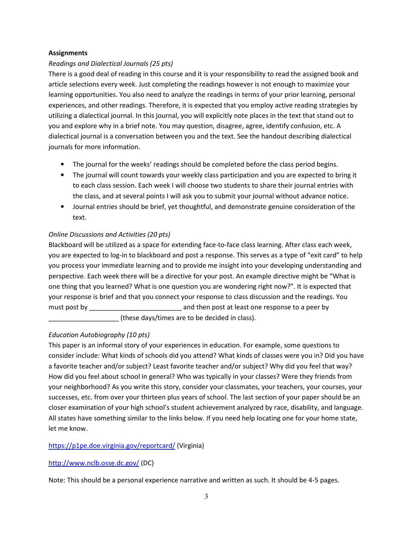## **Assignments**

# Readings and Dialectical Journals (25 pts)

There is a good deal of reading in this course and it is your responsibility to read the assigned book and article selections every week. Just completing the readings however is not enough to maximize your learning opportunities. You also need to analyze the readings in terms of your prior learning, personal experiences, and other readings. Therefore, it is expected that you employ active reading strategies by utilizing a dialectical journal. In this journal, you will explicitly note places in the text that stand out to you and explore why in a brief note. You may question, disagree, agree, identify confusion, etc. A dialectical journal is a conversation between you and the text. See the handout describing dialectical journals for more information.

- The journal for the weeks' readings should be completed before the class period begins.
- The journal will count towards your weekly class participation and you are expected to bring it to each class session. Each week I will choose two students to share their journal entries with the class, and at several points I will ask you to submit your journal without advance notice.
- Journal entries should be brief, yet thoughtful, and demonstrate genuine consideration of the text.

## Online Discussions and Activities (20 pts)

Blackboard will be utilized as a space for extending face-to-face class learning. After class each week, you are expected to log-in to blackboard and post a response. This serves as a type of "exit card" to help you process your immediate learning and to provide me insight into your developing understanding and perspective. Each week there will be a directive for your post. An example directive might be "What is one thing that you learned? What is one question you are wondering right now?". It is expected that your response is brief and that you connect your response to class discussion and the readings. You must post by **EXECUTE:** and then post at least one response to a peer by

\_\_\_\_\_\_\_\_\_\_\_\_\_\_\_\_\_\_\_ (these days/times are to be decided in class).

# Education Autobiography (10 pts)

This paper is an informal story of your experiences in education. For example, some questions to consider include: What kinds of schools did you attend? What kinds of classes were you in? Did you have a favorite teacher and/or subject? Least favorite teacher and/or subject? Why did you feel that way? How did you feel about school in general? Who was typically in your classes? Were they friends from your neighborhood? As you write this story, consider your classmates, your teachers, your courses, your successes, etc. from over your thirteen plus years of school. The last section of your paper should be an closer examination of your high school's student achievement analyzed by race, disability, and language. All states have something similar to the links below. If you need help locating one for your home state, let me know.

#### https://p1pe.doe.virginia.gov/reportcard/ (Virginia)

# http://www.nclb.osse.dc.gov/ (DC)

Note: This should be a personal experience narrative and written as such. It should be 4-5 pages.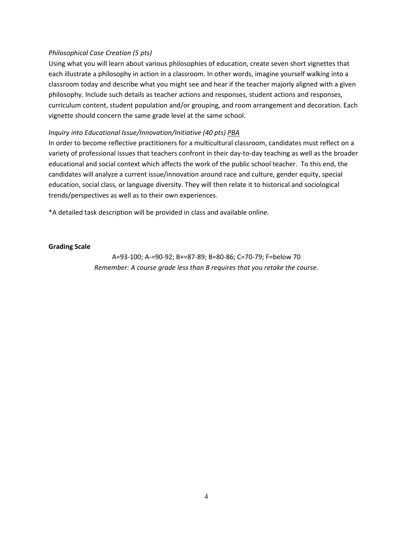#### Philosophical Case Creation (5 pts)

Using what you will learn about various philosophies of education, create seven short vignettes that each illustrate a philosophy in action in a classroom. In other words, imagine yourself walking into a classroom today and describe what you might see and hear if the teacher majorly aligned with a given philosophy. Include such details as teacher actions and responses, student actions and responses, curriculum content, student population and/or grouping, and room arrangement and decoration. Each vignette should concern the same grade level at the same school.

#### Inquiry into Educational Issue/Innovation/Initiative (40 pts) PBA

In order to become reflective practitioners for a multicultural classroom, candidates must reflect on a variety of professional issues that teachers confront in their day-to-day teaching as well as the broader educational and social context which affects the work of the public school teacher. To this end, the candidates will analyze a current issue/innovation around race and culture, gender equity, special education, social class, or language diversity. They will then relate it to historical and sociological trends/perspectives as well as to their own experiences.

\*A detailed task description will be provided in class and available online.

Grading Scale

A=93-100; A-=90-92; B+=87-89; B=80-86; C=70-79; F=below 70 Remember: A course grade less than B requires that you retake the course.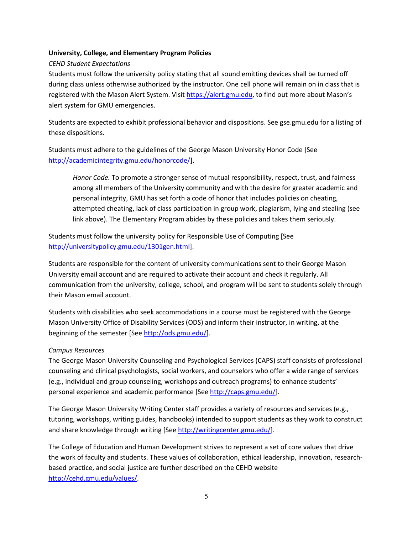#### University, College, and Elementary Program Policies

## CEHD Student Expectations

Students must follow the university policy stating that all sound emitting devices shall be turned off during class unless otherwise authorized by the instructor. One cell phone will remain on in class that is registered with the Mason Alert System. Visit https://alert.gmu.edu, to find out more about Mason's alert system for GMU emergencies.

Students are expected to exhibit professional behavior and dispositions. See gse.gmu.edu for a listing of these dispositions.

Students must adhere to the guidelines of the George Mason University Honor Code [See http://academicintegrity.gmu.edu/honorcode/].

Honor Code. To promote a stronger sense of mutual responsibility, respect, trust, and fairness among all members of the University community and with the desire for greater academic and personal integrity, GMU has set forth a code of honor that includes policies on cheating, attempted cheating, lack of class participation in group work, plagiarism, lying and stealing (see link above). The Elementary Program abides by these policies and takes them seriously.

Students must follow the university policy for Responsible Use of Computing [See http://universitypolicy.gmu.edu/1301gen.html].

Students are responsible for the content of university communications sent to their George Mason University email account and are required to activate their account and check it regularly. All communication from the university, college, school, and program will be sent to students solely through their Mason email account.

Students with disabilities who seek accommodations in a course must be registered with the George Mason University Office of Disability Services (ODS) and inform their instructor, in writing, at the beginning of the semester [See http://ods.gmu.edu/].

#### Campus Resources

The George Mason University Counseling and Psychological Services (CAPS) staff consists of professional counseling and clinical psychologists, social workers, and counselors who offer a wide range of services (e.g., individual and group counseling, workshops and outreach programs) to enhance students' personal experience and academic performance [See http://caps.gmu.edu/].

The George Mason University Writing Center staff provides a variety of resources and services (e.g., tutoring, workshops, writing guides, handbooks) intended to support students as they work to construct and share knowledge through writing [See http://writingcenter.gmu.edu/].

The College of Education and Human Development strives to represent a set of core values that drive the work of faculty and students. These values of collaboration, ethical leadership, innovation, researchbased practice, and social justice are further described on the CEHD website http://cehd.gmu.edu/values/.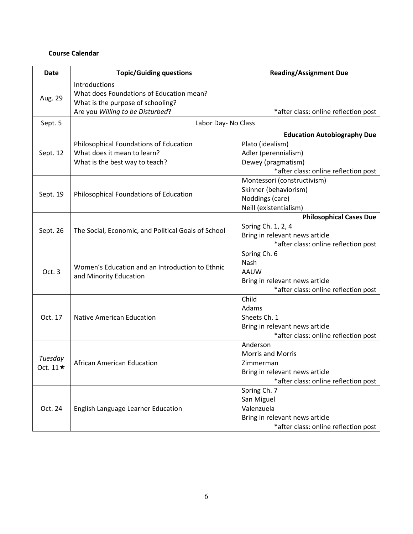# Course Calendar

| <b>Date</b>                | <b>Topic/Guiding questions</b>                                                                                                     | <b>Reading/Assignment Due</b>                                                                                                                |  |
|----------------------------|------------------------------------------------------------------------------------------------------------------------------------|----------------------------------------------------------------------------------------------------------------------------------------------|--|
| Aug. 29                    | Introductions<br>What does Foundations of Education mean?<br>What is the purpose of schooling?<br>Are you Willing to be Disturbed? | *after class: online reflection post                                                                                                         |  |
| Sept. 5                    | Labor Day- No Class                                                                                                                |                                                                                                                                              |  |
| Sept. 12                   | Philosophical Foundations of Education<br>What does it mean to learn?<br>What is the best way to teach?                            | <b>Education Autobiography Due</b><br>Plato (idealism)<br>Adler (perennialism)<br>Dewey (pragmatism)<br>*after class: online reflection post |  |
| Sept. 19                   | Philosophical Foundations of Education                                                                                             | Montessori (constructivism)<br>Skinner (behaviorism)<br>Noddings (care)<br>Neill (existentialism)                                            |  |
| Sept. 26                   | The Social, Economic, and Political Goals of School                                                                                | <b>Philosophical Cases Due</b><br>Spring Ch. 1, 2, 4<br>Bring in relevant news article<br>*after class: online reflection post               |  |
| Oct. 3                     | Women's Education and an Introduction to Ethnic<br>and Minority Education                                                          | Spring Ch. 6<br>Nash<br>AAUW<br>Bring in relevant news article<br>*after class: online reflection post                                       |  |
| Oct. 17                    | <b>Native American Education</b>                                                                                                   | Child<br>Adams<br>Sheets Ch. 1<br>Bring in relevant news article<br>*after class: online reflection post                                     |  |
| Tuesday<br>Oct. $11 \star$ | African American Education                                                                                                         | Anderson<br><b>Morris and Morris</b><br>Zimmerman<br>Bring in relevant news article<br>*after class: online reflection post                  |  |
| Oct. 24                    | English Language Learner Education                                                                                                 | Spring Ch. 7<br>San Miguel<br>Valenzuela<br>Bring in relevant news article<br>*after class: online reflection post                           |  |